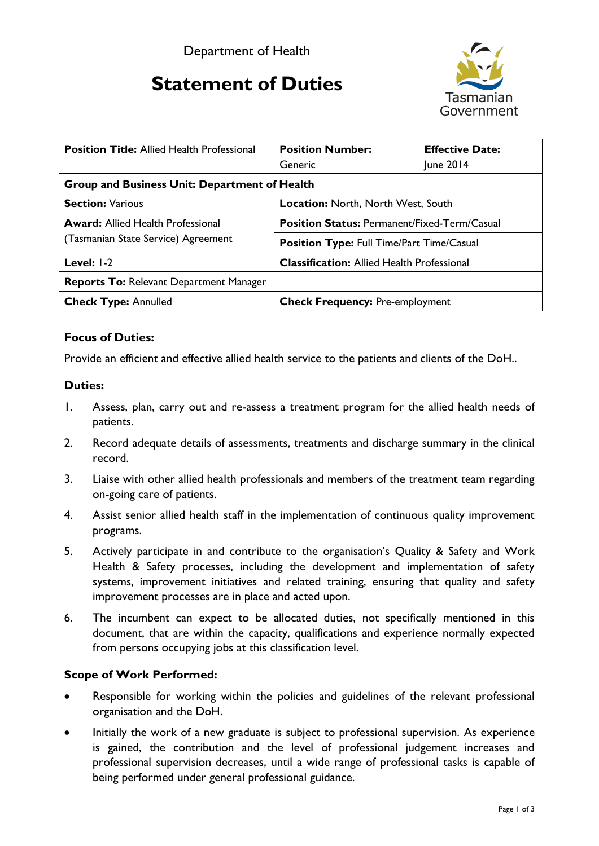# **Statement of Duties**



| <b>Position Title: Allied Health Professional</b>                               | <b>Position Number:</b>                             | <b>Effective Date:</b> |
|---------------------------------------------------------------------------------|-----------------------------------------------------|------------------------|
|                                                                                 | Generic                                             | June 2014              |
| <b>Group and Business Unit: Department of Health</b>                            |                                                     |                        |
| <b>Section: Various</b>                                                         | <b>Location: North, North West, South</b>           |                        |
| <b>Award:</b> Allied Health Professional<br>(Tasmanian State Service) Agreement | <b>Position Status: Permanent/Fixed-Term/Casual</b> |                        |
|                                                                                 | <b>Position Type: Full Time/Part Time/Casual</b>    |                        |
| Level: $ -2 $                                                                   | <b>Classification:</b> Allied Health Professional   |                        |
| <b>Reports To: Relevant Department Manager</b>                                  |                                                     |                        |
| <b>Check Type: Annulled</b>                                                     | <b>Check Frequency: Pre-employment</b>              |                        |

# **Focus of Duties:**

Provide an efficient and effective allied health service to the patients and clients of the DoH..

#### **Duties:**

- 1. Assess, plan, carry out and re-assess a treatment program for the allied health needs of patients.
- 2. Record adequate details of assessments, treatments and discharge summary in the clinical record.
- 3. Liaise with other allied health professionals and members of the treatment team regarding on-going care of patients.
- 4. Assist senior allied health staff in the implementation of continuous quality improvement programs.
- 5. Actively participate in and contribute to the organisation's Quality & Safety and Work Health & Safety processes, including the development and implementation of safety systems, improvement initiatives and related training, ensuring that quality and safety improvement processes are in place and acted upon.
- 6. The incumbent can expect to be allocated duties, not specifically mentioned in this document, that are within the capacity, qualifications and experience normally expected from persons occupying jobs at this classification level.

## **Scope of Work Performed:**

- Responsible for working within the policies and guidelines of the relevant professional organisation and the DoH.
- Initially the work of a new graduate is subject to professional supervision. As experience is gained, the contribution and the level of professional judgement increases and professional supervision decreases, until a wide range of professional tasks is capable of being performed under general professional guidance.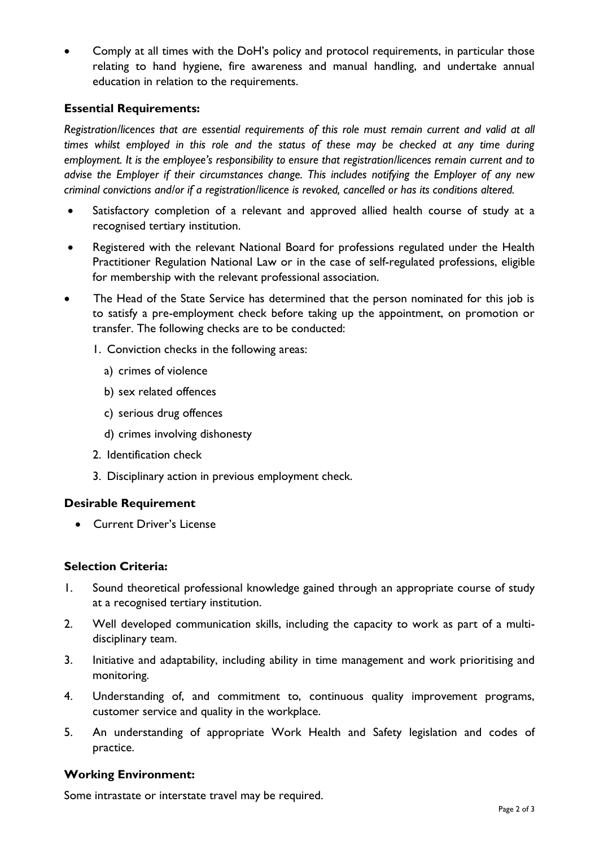• Comply at all times with the DoH's policy and protocol requirements, in particular those relating to hand hygiene, fire awareness and manual handling, and undertake annual education in relation to the requirements.

## **Essential Requirements:**

*Registration/licences that are essential requirements of this role must remain current and valid at all times whilst employed in this role and the status of these may be checked at any time during employment. It is the employee's responsibility to ensure that registration/licences remain current and to advise the Employer if their circumstances change. This includes notifying the Employer of any new criminal convictions and/or if a registration/licence is revoked, cancelled or has its conditions altered.*

- Satisfactory completion of a relevant and approved allied health course of study at a recognised tertiary institution.
- Registered with the relevant National Board for professions regulated under the Health Practitioner Regulation National Law or in the case of self-regulated professions, eligible for membership with the relevant professional association.
- The Head of the State Service has determined that the person nominated for this job is to satisfy a pre-employment check before taking up the appointment, on promotion or transfer. The following checks are to be conducted:
	- 1. Conviction checks in the following areas:
		- a) crimes of violence
		- b) sex related offences
		- c) serious drug offences
		- d) crimes involving dishonesty
	- 2. Identification check
	- 3. Disciplinary action in previous employment check.

## **Desirable Requirement**

• Current Driver's License

# **Selection Criteria:**

- 1. Sound theoretical professional knowledge gained through an appropriate course of study at a recognised tertiary institution.
- 2. Well developed communication skills, including the capacity to work as part of a multidisciplinary team.
- 3. Initiative and adaptability, including ability in time management and work prioritising and monitoring.
- 4. Understanding of, and commitment to, continuous quality improvement programs, customer service and quality in the workplace.
- 5. An understanding of appropriate Work Health and Safety legislation and codes of practice.

## **Working Environment:**

Some intrastate or interstate travel may be required.